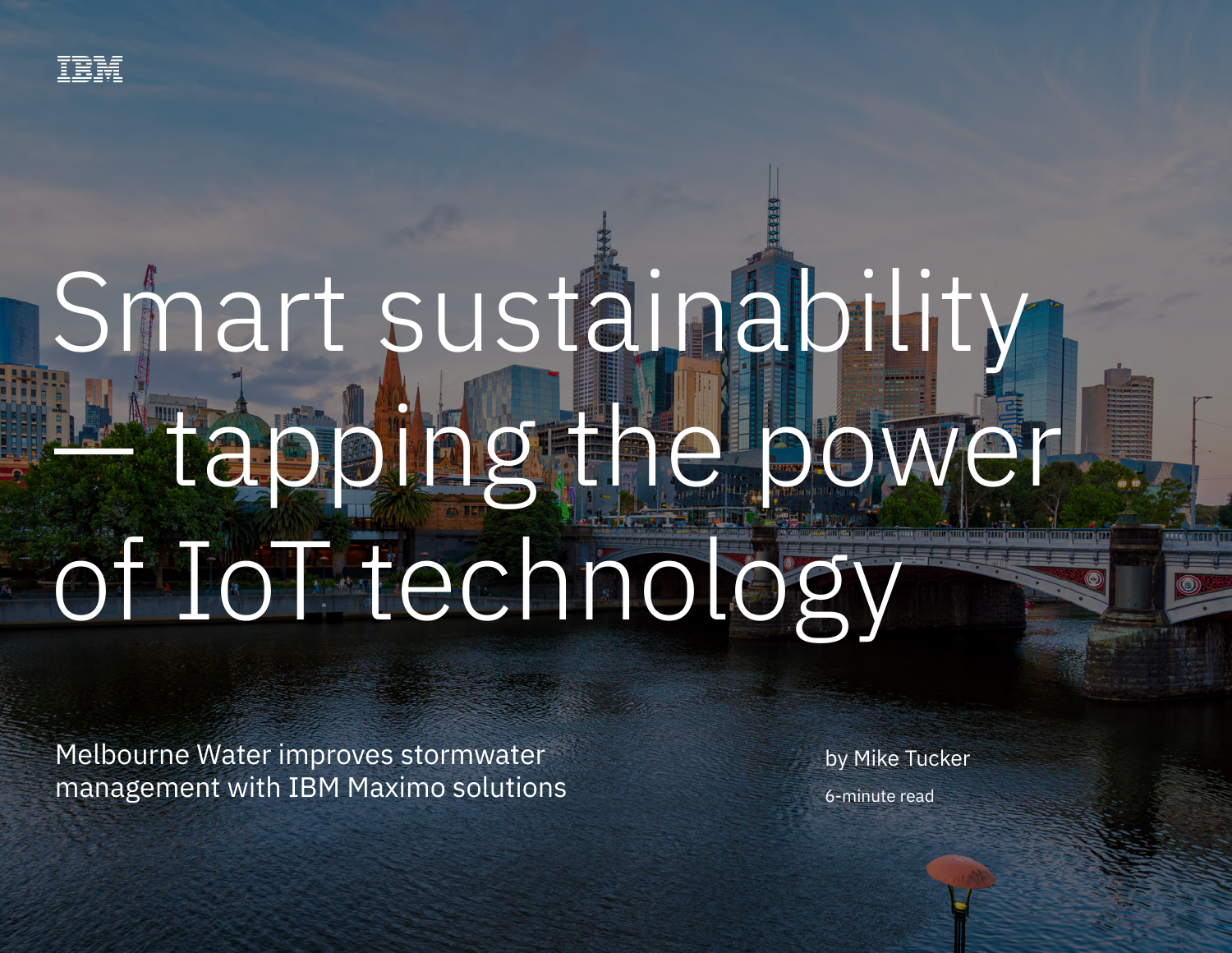

# Smart sustainability — tapping the power of IoT technology

Melbourne Water improves stormwater management with IBM Maximo solutions

by Mike Tucker 6-minute read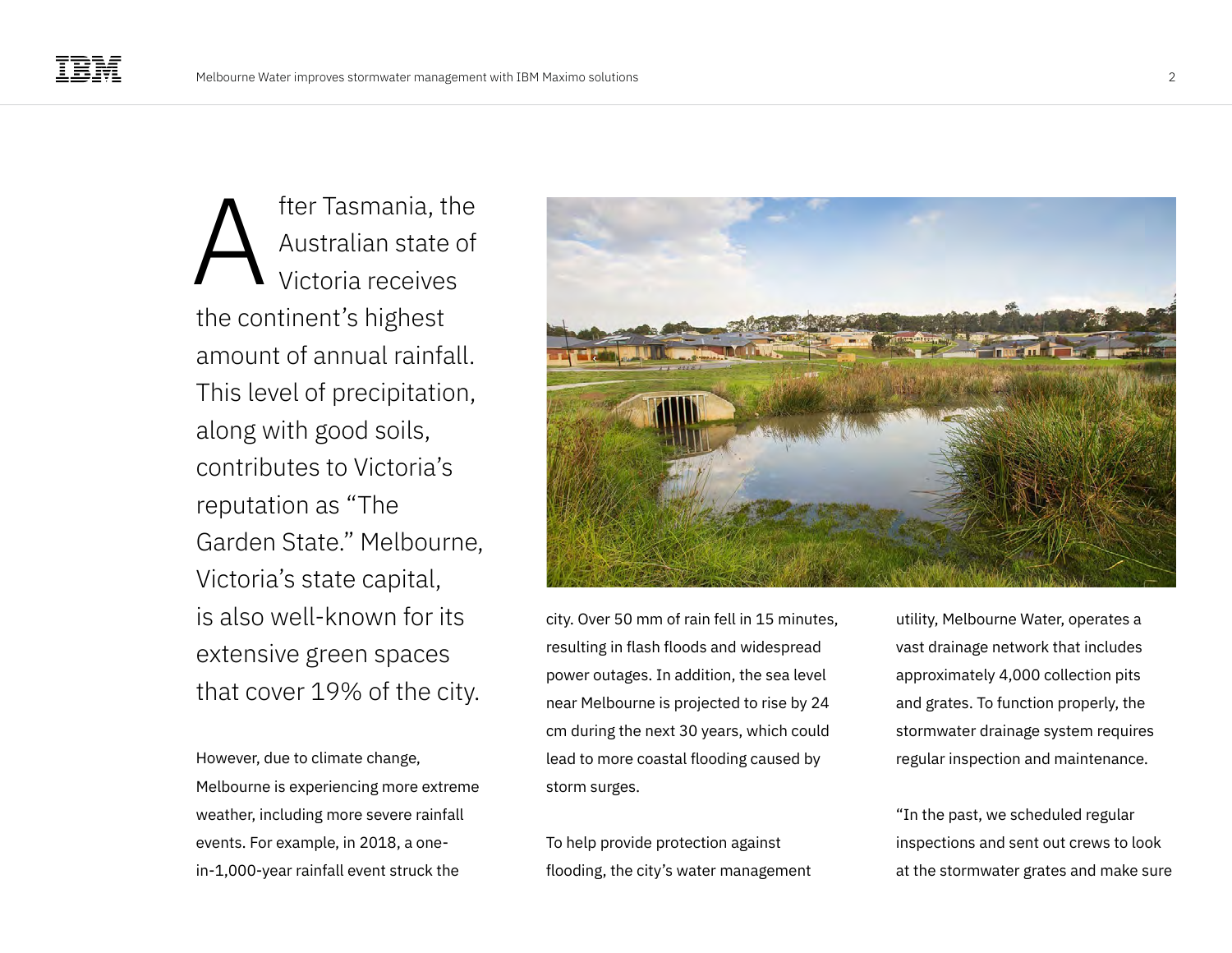fter Tasmania, the Australian state of Victoria receives the continent's highest amount of annual rainfall. This level of precipitation, along with good soils, contributes to Victoria's reputation as "The Garden State." Melbourne, Victoria's state capital, is also well-known for its extensive green spaces that cover 19% of the city. A

However, due to climate change, Melbourne is experiencing more extreme weather, including more severe rainfall events. For example, in 2018, a onein-1,000-year rainfall event struck the



city. Over 50 mm of rain fell in 15 minutes, resulting in flash floods and widespread power outages. In addition, the sea level near Melbourne is projected to rise by 24 cm during the next 30 years, which could lead to more coastal flooding caused by storm surges.

To help provide protection against flooding, the city's water management

utility, Melbourne Water, operates a vast drainage network that includes approximately 4,000 collection pits and grates. To function properly, the stormwater drainage system requires regular inspection and maintenance.

"In the past, we scheduled regular inspections and sent out crews to look at the stormwater grates and make sure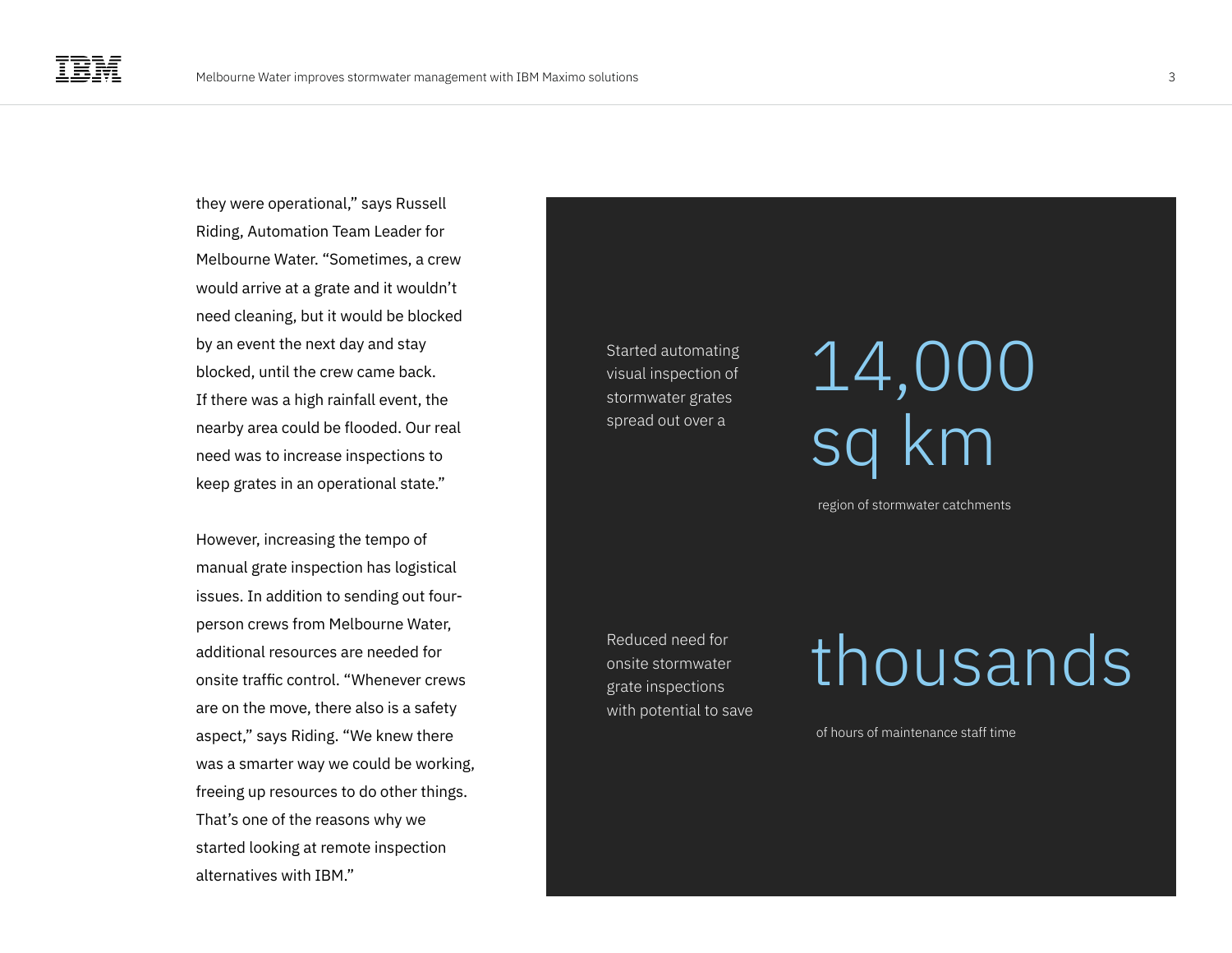they were operational," says Russell Riding, Automation Team Leader for Melbourne Water. "Sometimes, a crew would arrive at a grate and it wouldn't need cleaning, but it would be blocked by an event the next day and stay blocked, until the crew came back. If there was a high rainfall event, the nearby area could be flooded. Our real need was to increase inspections to keep grates in an operational state."

However, increasing the tempo of manual grate inspection has logistical issues. In addition to sending out fourperson crews from Melbourne Water, additional resources are needed for onsite traffic control. "Whenever crews are on the move, there also is a safety aspect," says Riding. "We knew there was a smarter way we could be working, freeing up resources to do other things. That's one of the reasons why we started looking at remote inspection alternatives with IBM."

Started automating visual inspection of stormwater grates spread out over a

### 14,000 sq km

region of stormwater catchments

Reduced need for onsite stormwater grate inspections with potential to save

### thousands

of hours of maintenance staff time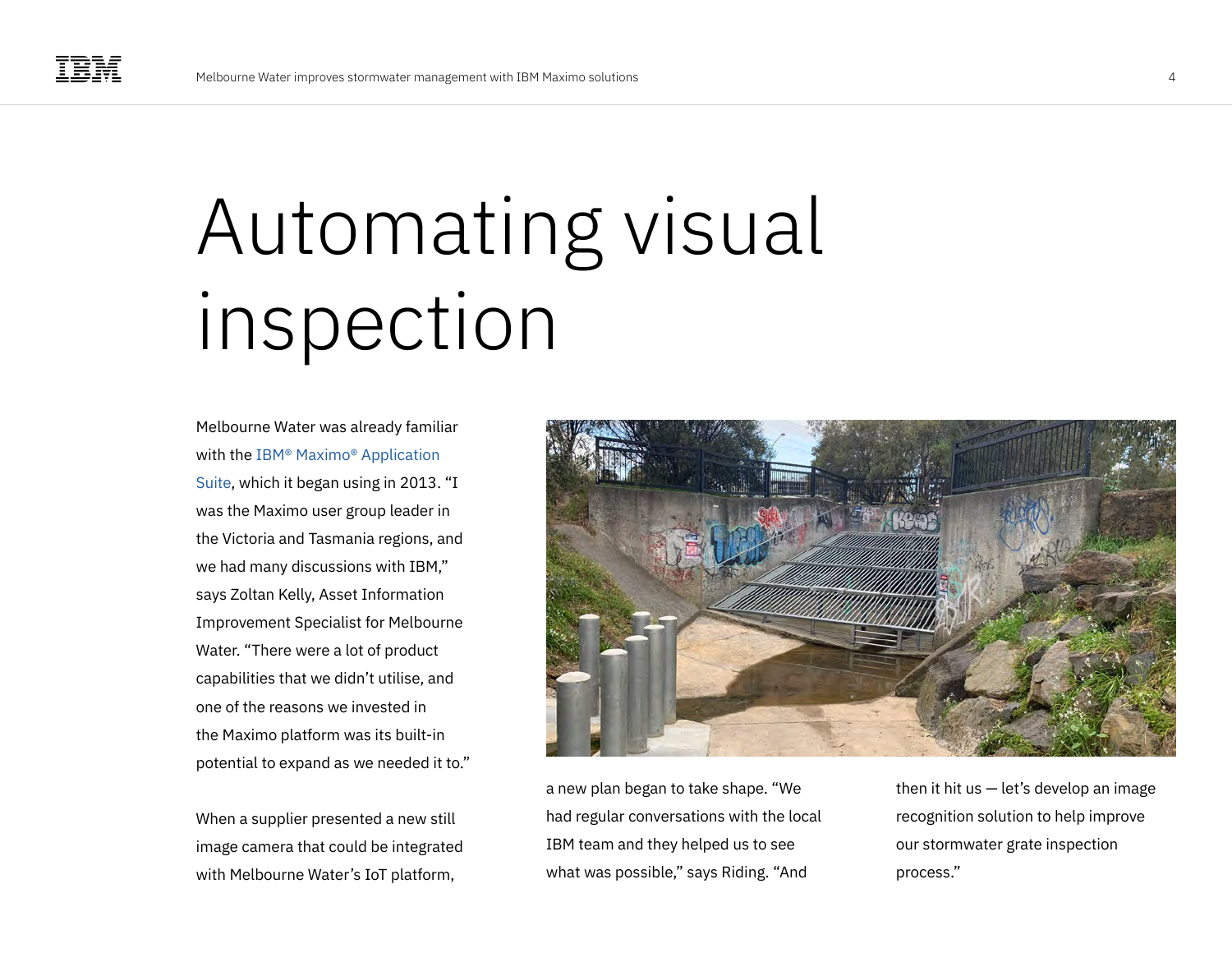## Automating visual inspection

Melbourne Water was already familiar with the [IBM® Maximo® Application](https://www.ibm.com/products/maximo)  [Suite,](https://www.ibm.com/products/maximo) which it began using in 2013. "I was the Maximo user group leader in the Victoria and Tasmania regions, and we had many discussions with IBM," says Zoltan Kelly, Asset Information Improvement Specialist for Melbourne Water. "There were a lot of product capabilities that we didn't utilise, and one of the reasons we invested in the Maximo platform was its built-in potential to expand as we needed it to."

When a supplier presented a new still image camera that could be integrated with Melbourne Water's IoT platform,



a new plan began to take shape. "We had regular conversations with the local IBM team and they helped us to see what was possible," says Riding. "And

then it hit us  $-$  let's develop an image recognition solution to help improve our stormwater grate inspection process."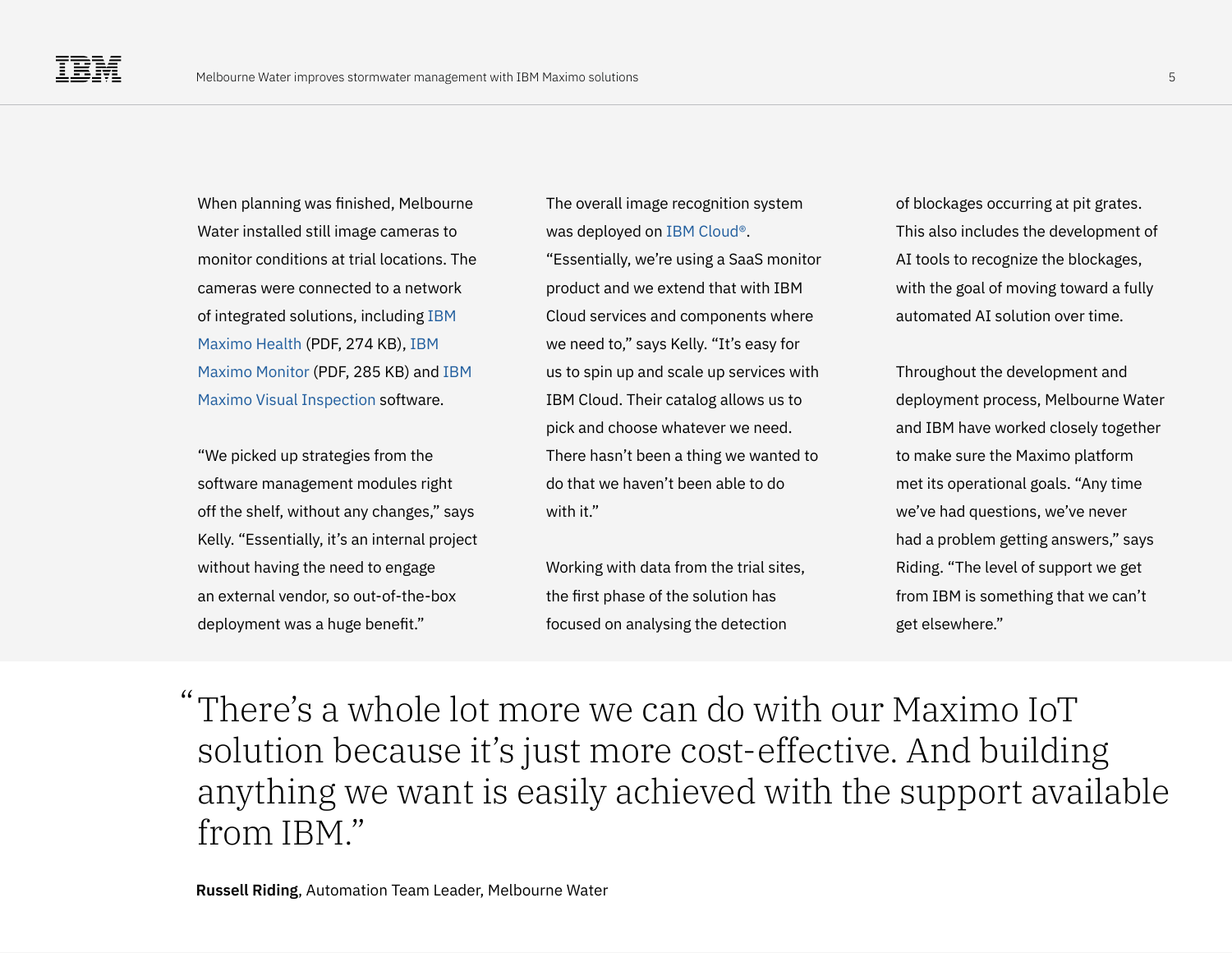When planning was finished, Melbourne Water installed still image cameras to monitor conditions at trial locations. The cameras were connected to a network of integrated solutions, including [IBM](https://www.ibm.com/downloads/cas/7QKBRK65)  [Maximo Health](https://www.ibm.com/downloads/cas/7QKBRK65) (PDF, 274 KB), [IBM](https://www.ibm.com/downloads/cas/ANPAJAWQ)  [Maximo Monitor](https://www.ibm.com/downloads/cas/ANPAJAWQ) (PDF, 285 KB) and [IBM](https://www.ibm.com/products/maximo-visual-inspection-mobile)  [Maximo Visual Inspection](https://www.ibm.com/products/maximo-visual-inspection-mobile) software.

"We picked up strategies from the software management modules right off the shelf, without any changes," says Kelly. "Essentially, it's an internal project without having the need to engage an external vendor, so out-of-the-box deployment was a huge benefit."

The overall image recognition system was deployed on [IBM Cloud®.](https://www.ibm.com/cloud)

"Essentially, we're using a SaaS monitor product and we extend that with IBM Cloud services and components where we need to," says Kelly. "It's easy for us to spin up and scale up services with IBM Cloud. Their catalog allows us to pick and choose whatever we need. There hasn't been a thing we wanted to do that we haven't been able to do with it"

Working with data from the trial sites, the first phase of the solution has focused on analysing the detection

of blockages occurring at pit grates. This also includes the development of AI tools to recognize the blockages, with the goal of moving toward a fully automated AI solution over time.

Throughout the development and deployment process, Melbourne Water and IBM have worked closely together to make sure the Maximo platform met its operational goals. "Any time we've had questions, we've never had a problem getting answers," says Riding. "The level of support we get from IBM is something that we can't get elsewhere."

There's a whole lot more we can do with our Maximo IoT "solution because it's just more cost-effective. And building anything we want is easily achieved with the support available from IBM."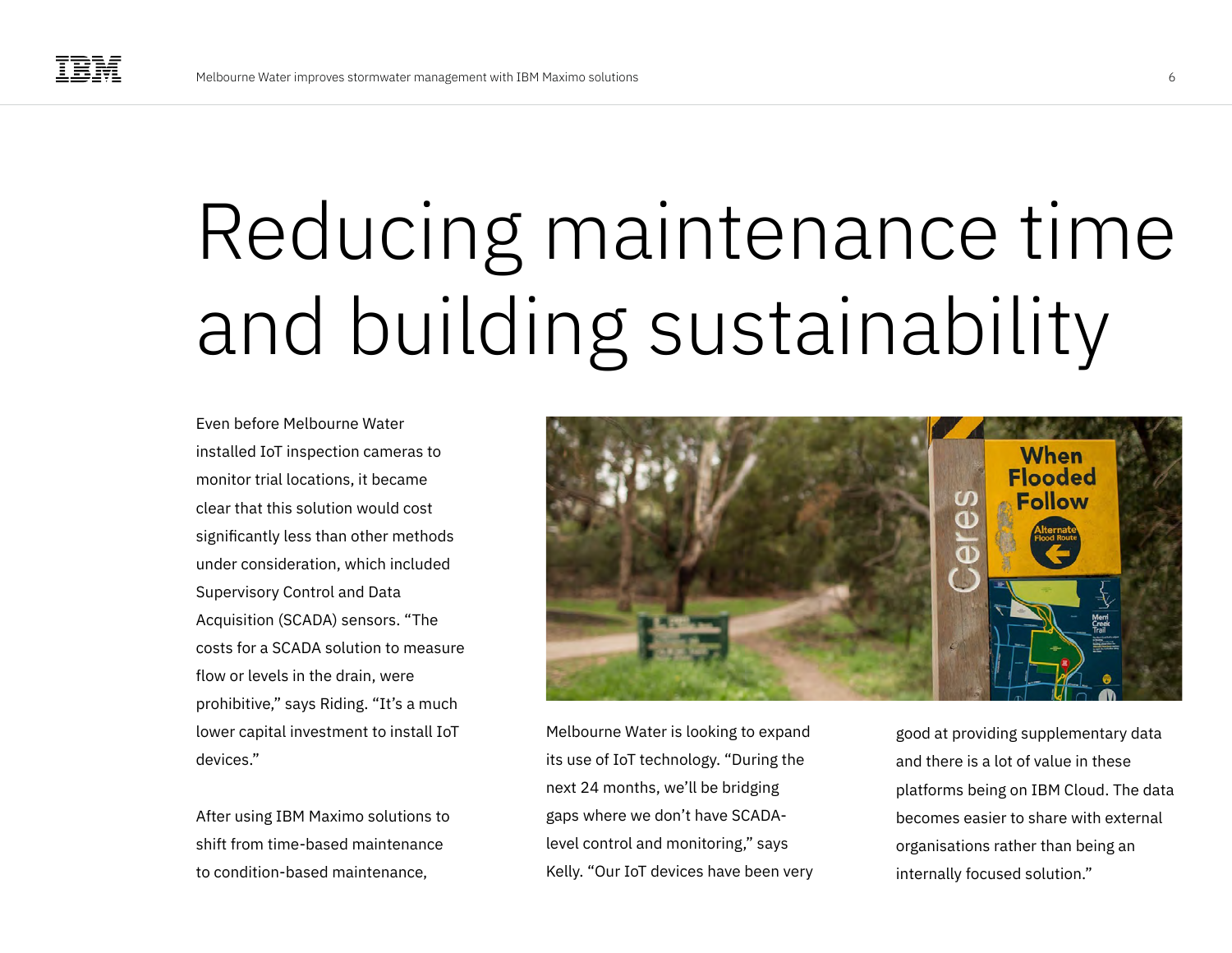# Reducing maintenance time and building sustainability

Even before Melbourne Water installed IoT inspection cameras to monitor trial locations, it became clear that this solution would cost significantly less than other methods under consideration, which included Supervisory Control and Data Acquisition (SCADA) sensors. "The costs for a SCADA solution to measure flow or levels in the drain, were prohibitive," says Riding. "It's a much lower capital investment to install IoT devices."

After using IBM Maximo solutions to shift from time-based maintenance to condition-based maintenance,



Melbourne Water is looking to expand its use of IoT technology. "During the next 24 months, we'll be bridging gaps where we don't have SCADAlevel control and monitoring," says Kelly. "Our IoT devices have been very good at providing supplementary data and there is a lot of value in these platforms being on IBM Cloud. The data becomes easier to share with external organisations rather than being an internally focused solution."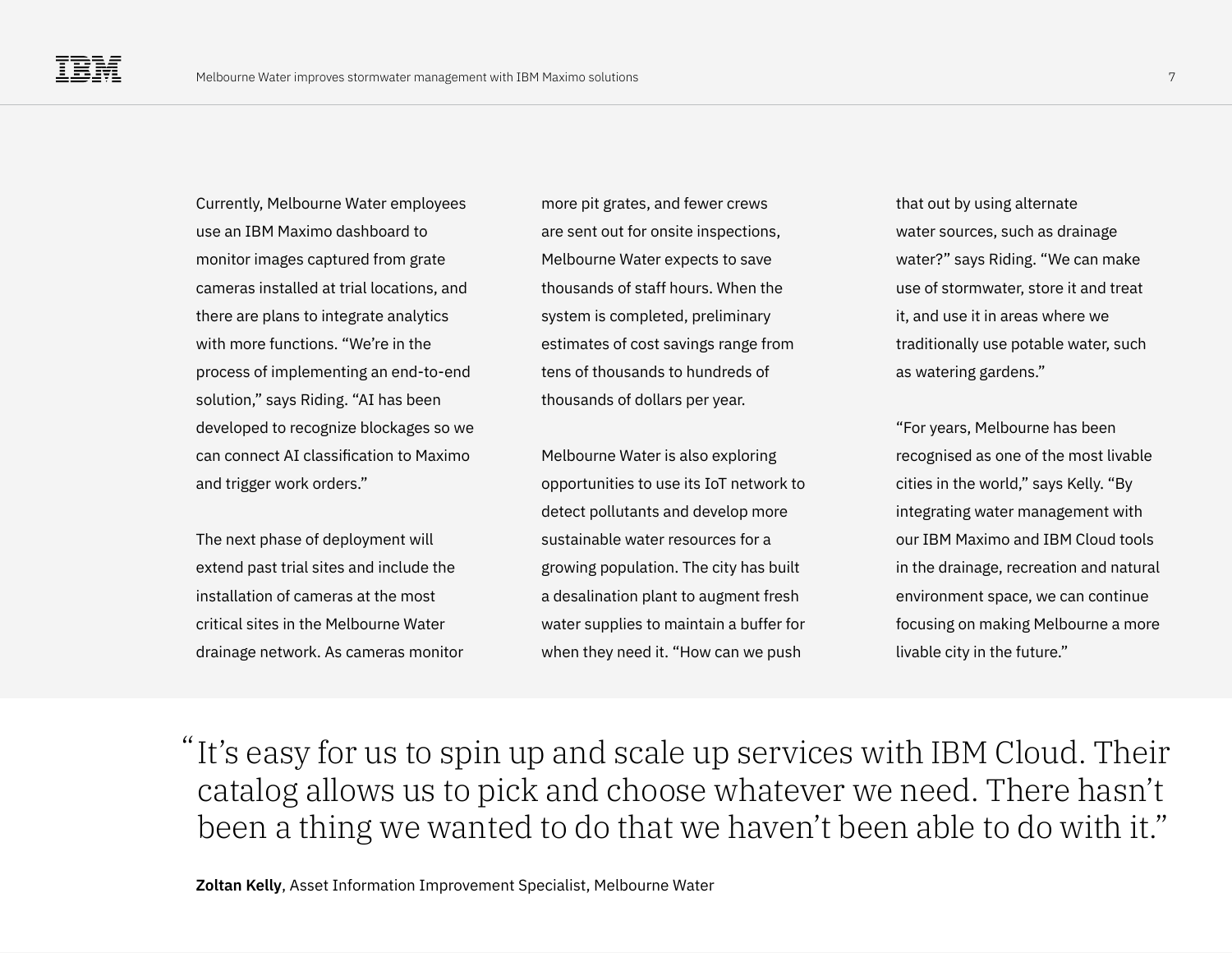Currently, Melbourne Water employees use an IBM Maximo dashboard to monitor images captured from grate cameras installed at trial locations, and there are plans to integrate analytics with more functions. "We're in the process of implementing an end-to-end solution," says Riding. "AI has been developed to recognize blockages so we can connect AI classification to Maximo and trigger work orders."

The next phase of deployment will extend past trial sites and include the installation of cameras at the most critical sites in the Melbourne Water drainage network. As cameras monitor

more pit grates, and fewer crews are sent out for onsite inspections, Melbourne Water expects to save thousands of staff hours. When the system is completed, preliminary estimates of cost savings range from tens of thousands to hundreds of thousands of dollars per year.

Melbourne Water is also exploring opportunities to use its IoT network to detect pollutants and develop more sustainable water resources for a growing population. The city has built a desalination plant to augment fresh water supplies to maintain a buffer for when they need it. "How can we push

that out by using alternate water sources, such as drainage water?" says Riding. "We can make use of stormwater, store it and treat it, and use it in areas where we traditionally use potable water, such as watering gardens."

"For years, Melbourne has been recognised as one of the most livable cities in the world," says Kelly. "By integrating water management with our IBM Maximo and IBM Cloud tools in the drainage, recreation and natural environment space, we can continue focusing on making Melbourne a more livable city in the future."

"It's easy for us to spin up and scale up services with IBM Cloud. Their catalog allows us to pick and choose whatever we need. There hasn't been a thing we wanted to do that we haven't been able to do with it."